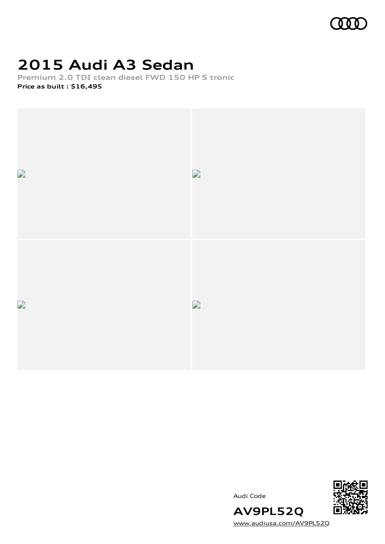

## **2015 Audi A3 Sedan**

**Premium 2.0 TDI clean diesel FWD 150 HP S tronic**

**Price as built [:](#page-9-0) \$16,495**







[www.audiusa.com/AV9PL52Q](https://www.audiusa.com/AV9PL52Q)

**AV9PL52Q**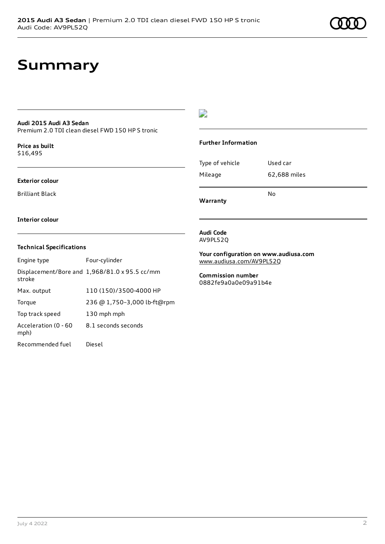### **Summary**

#### **Audi 2015 Audi A3 Sedan**

Premium 2.0 TDI clean diesel FWD 150 HP S tronic

**Price as buil[t](#page-9-0)** \$16,495

#### **Exterior colour**

Brilliant Black

### $\overline{\phantom{a}}$

#### **Further Information**

|                 | N٥           |
|-----------------|--------------|
| Mileage         | 62,688 miles |
| Type of vehicle | Used car     |

**Warranty**

#### **Interior colour**

#### **Technical Specifications**

| Engine type                  | Four-cylinder                                 |
|------------------------------|-----------------------------------------------|
| stroke                       | Displacement/Bore and 1,968/81.0 x 95.5 cc/mm |
| Max. output                  | 110 (150)/3500-4000 HP                        |
| Torque                       | 236 @ 1,750-3,000 lb-ft@rpm                   |
| Top track speed              | 130 mph mph                                   |
| Acceleration (0 - 60<br>mph) | 8.1 seconds seconds                           |
| Recommended fuel             | Diesel                                        |

#### **Audi Code** AV9PL52Q

**Your configuration on www.audiusa.com** [www.audiusa.com/AV9PL52Q](https://www.audiusa.com/AV9PL52Q)

**Commission number** 0882fe9a0a0e09a91b4e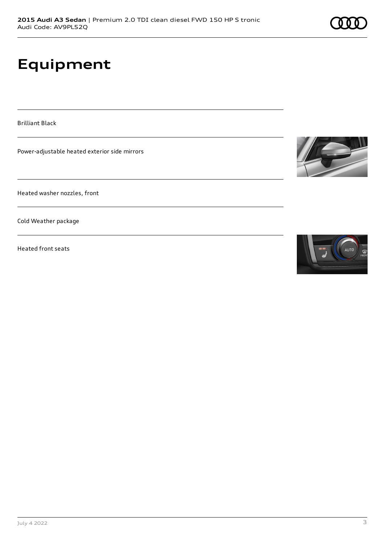# **Equipment**

Brilliant Black

Power-adjustable heated exterior side mirrors

Heated washer nozzles, front

Cold Weather package

Heated front seats



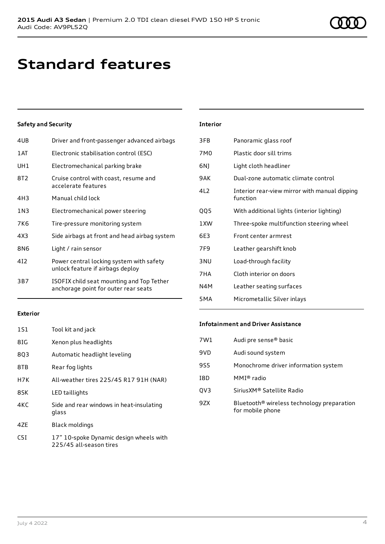### **Standard features**

#### **Safety and Security**

| 4UB   | Driver and front-passenger advanced airbags                                       |
|-------|-----------------------------------------------------------------------------------|
| 1 AT  | Electronic stabilisation control (ESC)                                            |
| UH1   | Electromechanical parking brake                                                   |
| 8T2   | Cruise control with coast, resume and<br>accelerate features                      |
| 4H3   | Manual child lock                                                                 |
| 1 N 3 | Electromechanical power steering                                                  |
| 7K6   | Tire-pressure monitoring system                                                   |
| 4X3   | Side airbags at front and head airbag system                                      |
| 8N6   | Light / rain sensor                                                               |
| 412   | Power central locking system with safety<br>unlock feature if airbags deploy      |
| 3B7   | ISOFIX child seat mounting and Top Tether<br>anchorage point for outer rear seats |
|       |                                                                                   |

| <b>Interior</b> |                                                           |
|-----------------|-----------------------------------------------------------|
| 3FB             | Panoramic glass roof                                      |
| 7M <sub>0</sub> | Plastic door sill trims                                   |
| 6N)             | Light cloth headliner                                     |
| 9AK             | Dual-zone automatic climate control                       |
| 4L2             | Interior rear-view mirror with manual dipping<br>function |
| QQ5             | With additional lights (interior lighting)                |
| 1XW             | Three-spoke multifunction steering wheel                  |
| 6E3             | Front center armrest                                      |
| 7F9             | Leather gearshift knob                                    |
| 3 <sub>NU</sub> | Load-through facility                                     |
| 7HA             | Cloth interior on doors                                   |
| N4M             | Leather seating surfaces                                  |
| 5MA             | Micrometallic Silver inlays                               |

#### **Exterior**

| 1S1 | Tool kit and jack                                                  |
|-----|--------------------------------------------------------------------|
| 8IG | Xenon plus headlights                                              |
| 8Q3 | Automatic headlight leveling                                       |
| 8TB | Rear fog lights                                                    |
| H7K | All-weather tires 225/45 R17 91H (NAR)                             |
| 8SK | LED taillights                                                     |
| 4KC | Side and rear windows in heat-insulating<br>glass                  |
| 47F | Black moldings                                                     |
| C5I | 17" 10-spoke Dynamic design wheels with<br>225/45 all-season tires |

#### **Infotainment and Driver Assistance**

| Audi pre sense <sup>®</sup> basic                                          |
|----------------------------------------------------------------------------|
| Audi sound system                                                          |
| Monochrome driver information system                                       |
| MMI® radio                                                                 |
| SiriusXM® Satellite Radio                                                  |
| Bluetooth <sup>®</sup> wireless technology preparation<br>for mobile phone |
|                                                                            |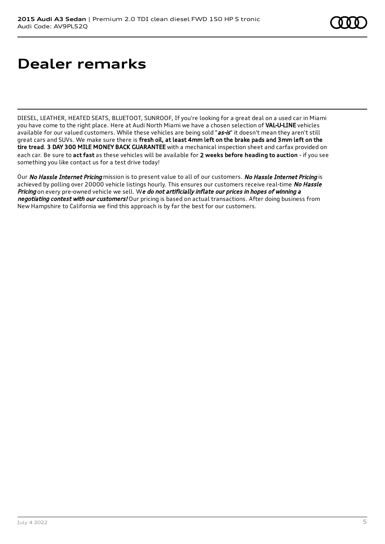## **Dealer remarks**

DIESEL, LEATHER, HEATED SEATS, BLUETOOT, SUNROOF, If you're looking for a great deal on a used car in Miami you have come to the right place. Here at Audi North Miami we have a chosen selection of VAL-U-LINE vehicles available for our valued customers. While these vehicles are being sold "as-is" it doesn't mean they aren't still great cars and SUVs. We make sure there is fresh oil, at least 4mm left on the brake pads and 3mm left on the tire tread. 3 DAY 300 MILE MONEY BACK GUARANTEE with a mechanical inspection sheet and carfax provided on each car. Be sure to **act fast** as these vehicles will be available for 2 **weeks before heading to auction** - if you see something you like contact us for a test drive today!

Our No Hassle Internet Pricing mission is to present value to all of our customers. No Hassle Internet Pricing is achieved by polling over 20000 vehicle listings hourly. This ensures our customers receive real-time No Hassle Pricing on every pre-owned vehicle we sell. We do not artificially inflate our prices in hopes of winning a negotiating contest with our customers! Our pricing is based on actual transactions. After doing business from New Hampshire to California we find this approach is by far the best for our customers.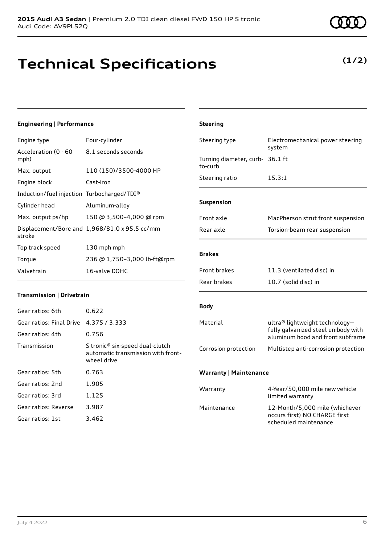### **Technical Specifications**

**Engineering | Performance**

**(1/2)**

| Engine type                                | Four-cylinder                                                                        | Steering type                              | Electromechanical power steering                                        |
|--------------------------------------------|--------------------------------------------------------------------------------------|--------------------------------------------|-------------------------------------------------------------------------|
| Acceleration (0 - 60                       | 8.1 seconds seconds                                                                  |                                            | system                                                                  |
| mph)                                       |                                                                                      | Turning diameter, curb- 36.1 ft<br>to-curb |                                                                         |
| Max. output                                | 110 (150)/3500-4000 HP                                                               | Steering ratio                             | 15.3:1                                                                  |
| Engine block                               | Cast-iron                                                                            |                                            |                                                                         |
| Induction/fuel injection Turbocharged/TDI® |                                                                                      |                                            |                                                                         |
| Cylinder head                              | Aluminum-alloy                                                                       | Suspension                                 |                                                                         |
| Max. output ps/hp                          | 150 @ 3,500-4,000 @ rpm                                                              | Front axle                                 | MacPherson strut front suspension                                       |
| stroke                                     | Displacement/Bore and 1,968/81.0 x 95.5 cc/mm                                        | Rear axle                                  | Torsion-beam rear suspension                                            |
| Top track speed                            | 130 mph mph                                                                          |                                            |                                                                         |
| Torque                                     | 236 @ 1,750-3,000 lb-ft@rpm                                                          | <b>Brakes</b>                              |                                                                         |
| Valvetrain                                 | 16-valve DOHC                                                                        | Front brakes                               | 11.3 (ventilated disc) in                                               |
|                                            |                                                                                      | Rear brakes                                | 10.7 (solid disc) in                                                    |
| Transmission   Drivetrain                  |                                                                                      |                                            |                                                                         |
| Gear ratios: 6th                           | 0.622                                                                                | <b>Body</b>                                |                                                                         |
| Gear ratios: Final Drive                   | 4.375 / 3.333                                                                        | Material                                   | ultra® lightweight technology-                                          |
| Gear ratios: 4th                           | 0.756                                                                                |                                            | fully galvanized steel unibody with<br>aluminum hood and front subframe |
| Transmission                               | S tronic® six-speed dual-clutch<br>automatic transmission with front-<br>wheel drive | Corrosion protection                       | Multistep anti-corrosion protection                                     |
| Gear ratios: 5th                           | 0.763                                                                                | <b>Warranty   Maintenance</b>              |                                                                         |
| Gear ratios: 2nd                           | 1.905                                                                                |                                            |                                                                         |
| Gear ratios: 3rd                           | 1.125                                                                                | Warranty                                   | 4-Year/50,000 mile new vehicle<br>limited warranty                      |
| Gear ratios: Reverse                       | 3.987                                                                                | Maintenance                                | 12-Month/5,000 mile (whichever                                          |
| Gear ratios: 1st                           | 3.462                                                                                |                                            | occurs first) NO CHARGE first                                           |

**Steering**

July 4 2022 6

scheduled maintenance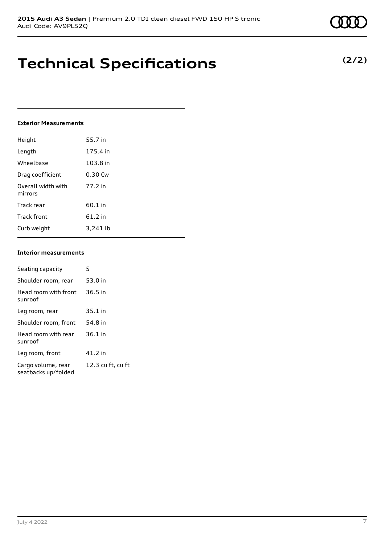### **Technical Specifications**

#### **Exterior Measurements**

| Height                        | 55.7 in  |
|-------------------------------|----------|
| Length                        | 175.4 in |
| Wheelbase                     | 103.8 in |
| Drag coefficient              | 0.30 Cw  |
| Overall width with<br>mirrors | 77.2 in  |
| Track rear                    | 60.1 in  |
| <b>Track front</b>            | 61.2 in  |
| Curb weight                   | 3,241 lb |

#### **Interior measurements**

| Seating capacity                          | 5                 |
|-------------------------------------------|-------------------|
| Shoulder room, rear                       | 53.0 in           |
| Head room with front<br>sunroof           | $36.5$ in         |
| Leg room, rear                            | $35.1$ in         |
| Shoulder room, front                      | 54.8 in           |
| Head room with rear<br>sunroof            | $36.1$ in         |
| Leg room, front                           | 41.2 in           |
| Cargo volume, rear<br>seatbacks up/folded | 12.3 cu ft, cu ft |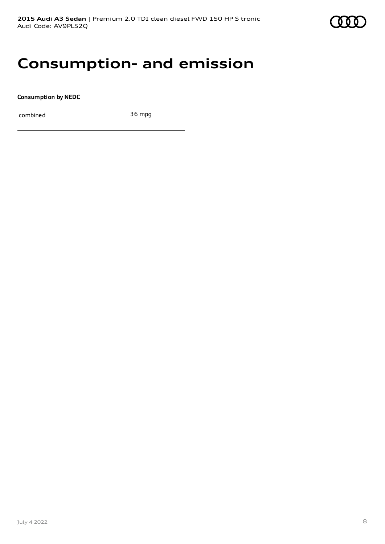### **Consumption- and emission**

**Consumption by NEDC**

combined 36 mpg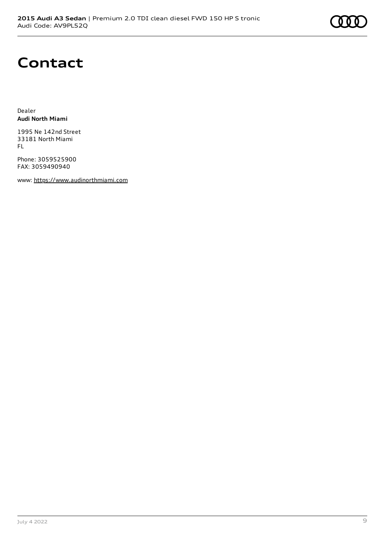

### **Contact**

Dealer **Audi North Miami**

1995 Ne 142nd Street 33181 North Miami FL

Phone: 3059525900 FAX: 3059490940

www: [https://www.audinorthmiami.com](https://www.audinorthmiami.com/)